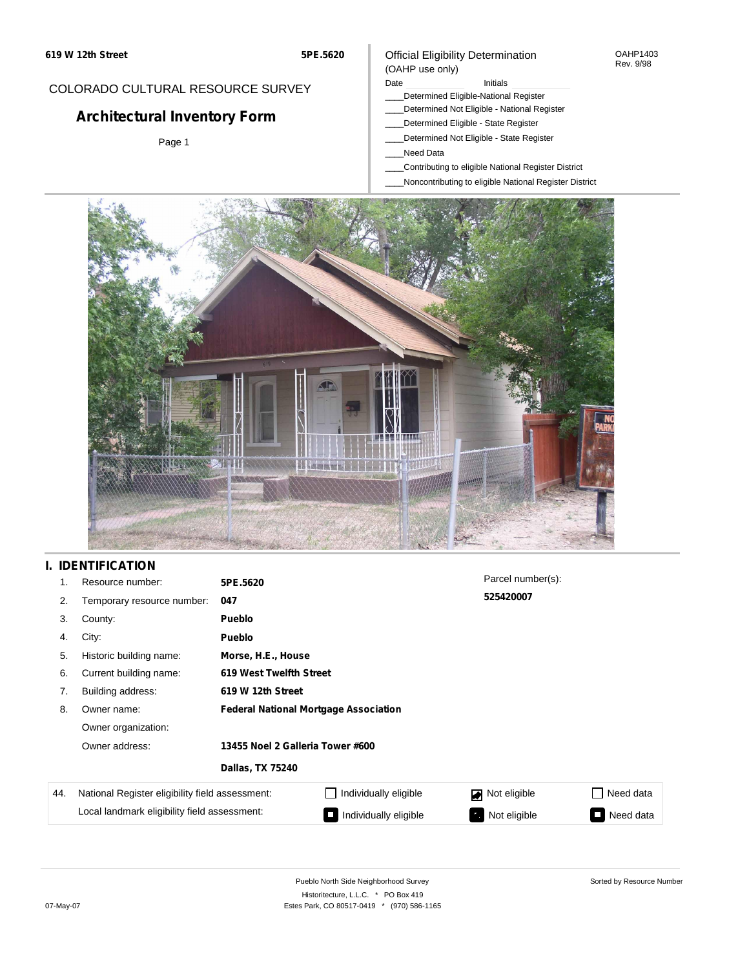## COLORADO CULTURAL RESOURCE SURVEY

# **Architectural Inventory Form**

Page 1

### Official Eligibility Determination (OAHP use only)

Date **Initials** Initials

- \_\_\_\_Determined Eligible-National Register
- \_\_\_\_Determined Not Eligible National Register
- \_\_\_\_Determined Eligible State Register
- \_\_\_\_Determined Not Eligible State Register
- \_\_\_\_Need Data
- \_\_\_\_Contributing to eligible National Register District
- \_\_\_\_Noncontributing to eligible National Register District



## **I. IDENTIFICATION**

| 1.  | Resource number:                                                                                | 5PE.5620                                     |                       | Parcel number(s): |           |
|-----|-------------------------------------------------------------------------------------------------|----------------------------------------------|-----------------------|-------------------|-----------|
| 2.  | Temporary resource number:                                                                      | 047                                          |                       | 525420007         |           |
| 3.  | County:                                                                                         | <b>Pueblo</b>                                |                       |                   |           |
| 4.  | City:                                                                                           | <b>Pueblo</b>                                |                       |                   |           |
| 5.  | Historic building name:                                                                         | Morse, H.E., House                           |                       |                   |           |
| 6.  | Current building name:                                                                          | 619 West Twelfth Street                      |                       |                   |           |
| 7.  | Building address:                                                                               | 619 W 12th Street                            |                       |                   |           |
| 8.  | Owner name:                                                                                     | <b>Federal National Mortgage Association</b> |                       |                   |           |
|     | Owner organization:                                                                             |                                              |                       |                   |           |
|     | Owner address:                                                                                  | 13455 Noel 2 Galleria Tower #600             |                       |                   |           |
|     |                                                                                                 | <b>Dallas, TX 75240</b>                      |                       |                   |           |
| 44. | National Register eligibility field assessment:<br>Local landmark eligibility field assessment: |                                              | Individually eligible | Not eligible<br>◪ | Need data |
|     |                                                                                                 |                                              | Individually eligible | Not eligible<br>Ъ | Need data |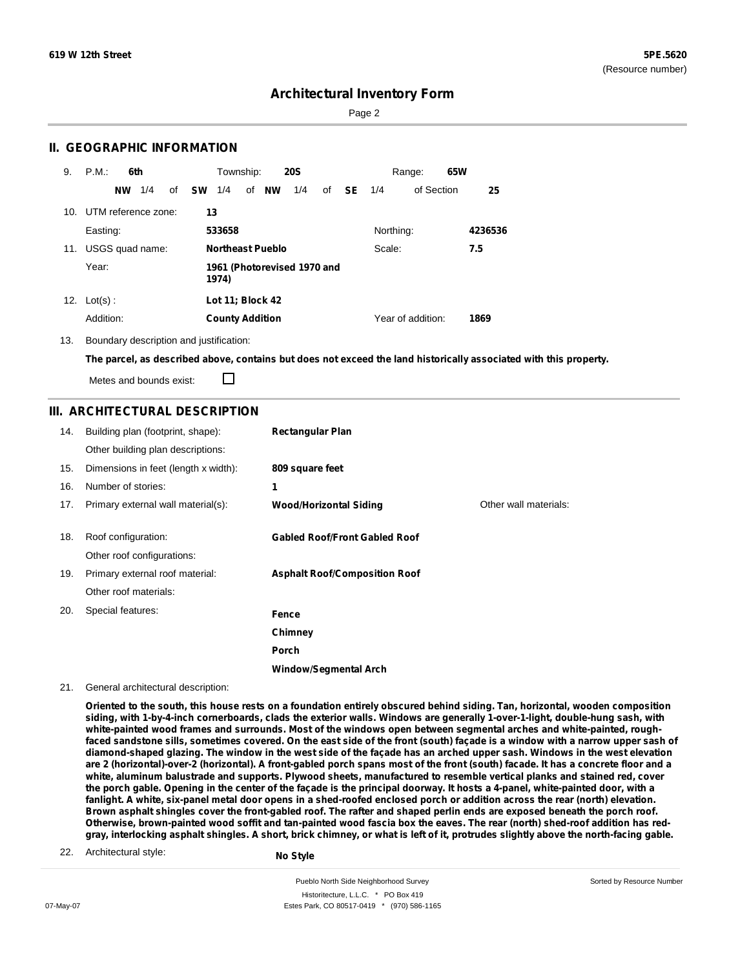Sorted by Resource Number

## **Architectural Inventory Form**

Page 2

## **II. GEOGRAPHIC INFORMATION**

| 9.  | P.M.<br>6th            | Township:<br><b>20S</b>                          | 65W<br>Range:             |         |
|-----|------------------------|--------------------------------------------------|---------------------------|---------|
|     | 1/4<br><b>NW</b><br>of | NW<br>1/4<br><b>SW</b><br>1/4<br>of<br>SE.<br>of | of Section<br>1/4         | 25      |
| 10. | UTM reference zone:    | 13                                               |                           |         |
|     | Easting:               | 533658                                           | Northing:                 | 4236536 |
| 11. | USGS quad name:        | <b>Northeast Pueblo</b>                          | Scale:<br>7.5             |         |
|     | Year:                  | 1961 (Photorevised 1970 and<br>1974)             |                           |         |
| 12. | $Lot(s)$ :             | Lot 11; Block 42                                 |                           |         |
|     | Addition:              | <b>County Addition</b>                           | Year of addition:<br>1869 |         |

13. Boundary description and justification:

The parcel, as described above, contains but does not exceed the land historically associated with this property.

Metes and bounds exist:

П

## **III. ARCHITECTURAL DESCRIPTION**

| 14. | Building plan (footprint, shape):    | <b>Rectangular Plan</b>              |                       |
|-----|--------------------------------------|--------------------------------------|-----------------------|
|     | Other building plan descriptions:    |                                      |                       |
| 15. | Dimensions in feet (length x width): | 809 square feet                      |                       |
| 16. | Number of stories:                   | 1                                    |                       |
| 17. | Primary external wall material(s):   | <b>Wood/Horizontal Siding</b>        | Other wall materials: |
|     |                                      |                                      |                       |
| 18. | Roof configuration:                  | <b>Gabled Roof/Front Gabled Roof</b> |                       |
|     | Other roof configurations:           |                                      |                       |
| 19. | Primary external roof material:      | <b>Asphalt Roof/Composition Roof</b> |                       |
|     | Other roof materials:                |                                      |                       |
| 20. | Special features:                    | Fence                                |                       |
|     |                                      | Chimney                              |                       |
|     |                                      | Porch                                |                       |
|     |                                      | Window/Segmental Arch                |                       |

21. General architectural description:

Oriented to the south, this house rests on a foundation entirely obscured behind siding. Tan, horizontal, wooden composition siding, with 1-by-4-inch cornerboards, clads the exterior walls. Windows are generally 1-over-1-light, double-hung sash, with white-painted wood frames and surrounds. Most of the windows open between segmental arches and white-painted, roughfaced sandstone sills, sometimes covered. On the east side of the front (south) façade is a window with a narrow upper sash of diamond-shaped glazing. The window in the west side of the façade has an arched upper sash. Windows in the west elevation are 2 (horizontal)-over-2 (horizontal). A front-gabled porch spans most of the front (south) facade. It has a concrete floor and a white, aluminum balustrade and supports. Plywood sheets, manufactured to resemble vertical planks and stained red, cover the porch gable. Opening in the center of the façade is the principal doorway. It hosts a 4-panel, white-painted door, with a fanlight. A white, six-panel metal door opens in a shed-roofed enclosed porch or addition across the rear (north) elevation. Brown asphalt shingles cover the front-gabled roof. The rafter and shaped perlin ends are exposed beneath the porch roof. Otherwise, brown-painted wood soffit and tan-painted wood fascia box the eaves. The rear (north) shed-roof addition has redgray, interlocking asphalt shingles. A short, brick chimney, or what is left of it, protrudes slightly above the north-facing gable.

22. Architectural style:

**No Style**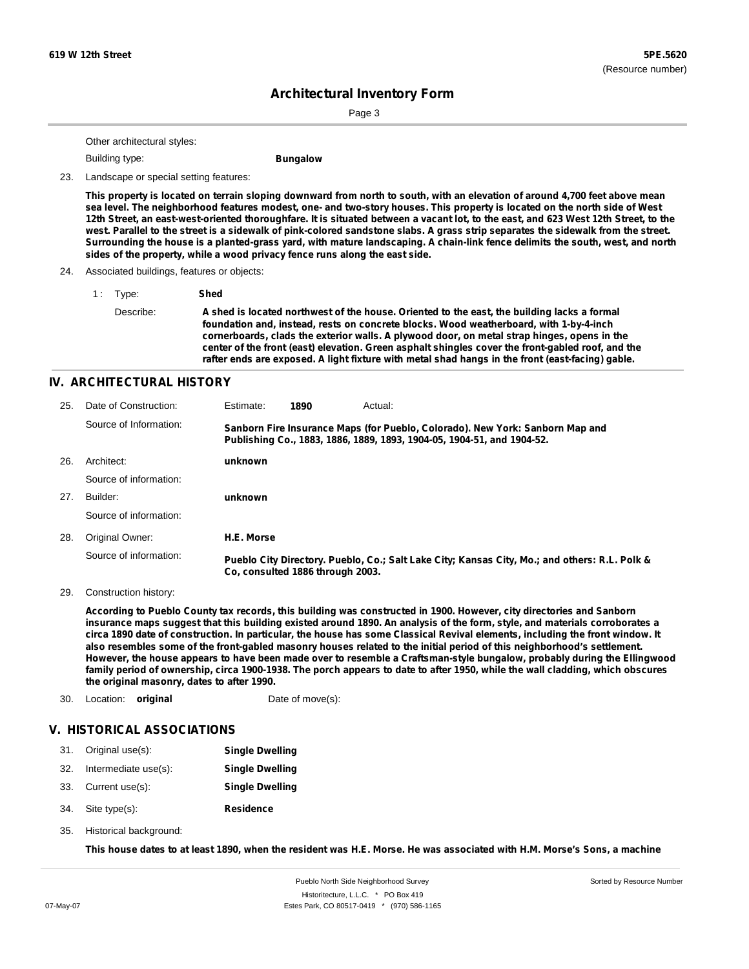Page 3

Other architectural styles:

Building type: **Bungalow**

23. Landscape or special setting features:

This property is located on terrain sloping downward from north to south, with an elevation of around 4,700 feet above mean sea level. The neighborhood features modest, one- and two-story houses. This property is located on the north side of West 12th Street, an east-west-oriented thoroughfare. It is situated between a vacant lot, to the east, and 623 West 12th Street, to the west. Parallel to the street is a sidewalk of pink-colored sandstone slabs. A grass strip separates the sidewalk from the street. Surrounding the house is a planted-grass yard, with mature landscaping. A chain-link fence delimits the south, west, and north **sides of the property, while a wood privacy fence runs along the east side.**

- 24. Associated buildings, features or objects:
	- 1 : Type: **Shed** Describe: **A shed is located northwest of the house. Oriented to the east, the building lacks a formal foundation and, instead, rests on concrete blocks. Wood weatherboard, with 1-by-4-inch cornerboards, clads the exterior walls. A plywood door, on metal strap hinges, opens in the center of the front (east) elevation. Green asphalt shingles cover the front-gabled roof, and the rafter ends are exposed. A light fixture with metal shad hangs in the front (east-facing) gable.**

### **IV. ARCHITECTURAL HISTORY**

| 25. | Date of Construction:  | Estimate:  | 1890                             | Actual:                                                                                                                                                 |
|-----|------------------------|------------|----------------------------------|---------------------------------------------------------------------------------------------------------------------------------------------------------|
|     | Source of Information: |            |                                  | Sanborn Fire Insurance Maps (for Pueblo, Colorado). New York: Sanborn Map and<br>Publishing Co., 1883, 1886, 1889, 1893, 1904-05, 1904-51, and 1904-52. |
| 26. | Architect:             | unknown    |                                  |                                                                                                                                                         |
|     | Source of information: |            |                                  |                                                                                                                                                         |
| 27. | Builder:               | unknown    |                                  |                                                                                                                                                         |
|     | Source of information: |            |                                  |                                                                                                                                                         |
| 28. | Original Owner:        | H.E. Morse |                                  |                                                                                                                                                         |
|     | Source of information: |            | Co. consulted 1886 through 2003. | Pueblo City Directory. Pueblo, Co.; Salt Lake City; Kansas City, Mo.; and others: R.L. Polk &                                                           |

Construction history: 29.

> According to Pueblo County tax records, this building was constructed in 1900. However, city directories and Sanborn insurance maps suggest that this building existed around 1890. An analysis of the form, style, and materials corroborates a circa 1890 date of construction. In particular, the house has some Classical Revival elements, including the front window. It also resembles some of the front-gabled masonry houses related to the initial period of this neighborhood's settlement. However, the house appears to have been made over to resemble a Craftsman-style bungalow, probably during the Ellingwood family period of ownership, circa 1900-1938. The porch appears to date to after 1950, while the wall cladding, which obscures **the original masonry, dates to after 1990.**

30. Location: **original** Date of move(s):

#### **V. HISTORICAL ASSOCIATIONS**

| 31. | Original use(s):        | <b>Single Dwelling</b> |
|-----|-------------------------|------------------------|
| 32. | Intermediate $use(s)$ : | <b>Single Dwelling</b> |

- Intermediate use(s): **Single Dwelling**
- 33. Current use(s): **Single Dwelling**
- **Residence** Site type(s): 34.
- 35. Historical background:

This house dates to at least 1890, when the resident was H.E. Morse. He was associated with H.M. Morse's Sons, a machine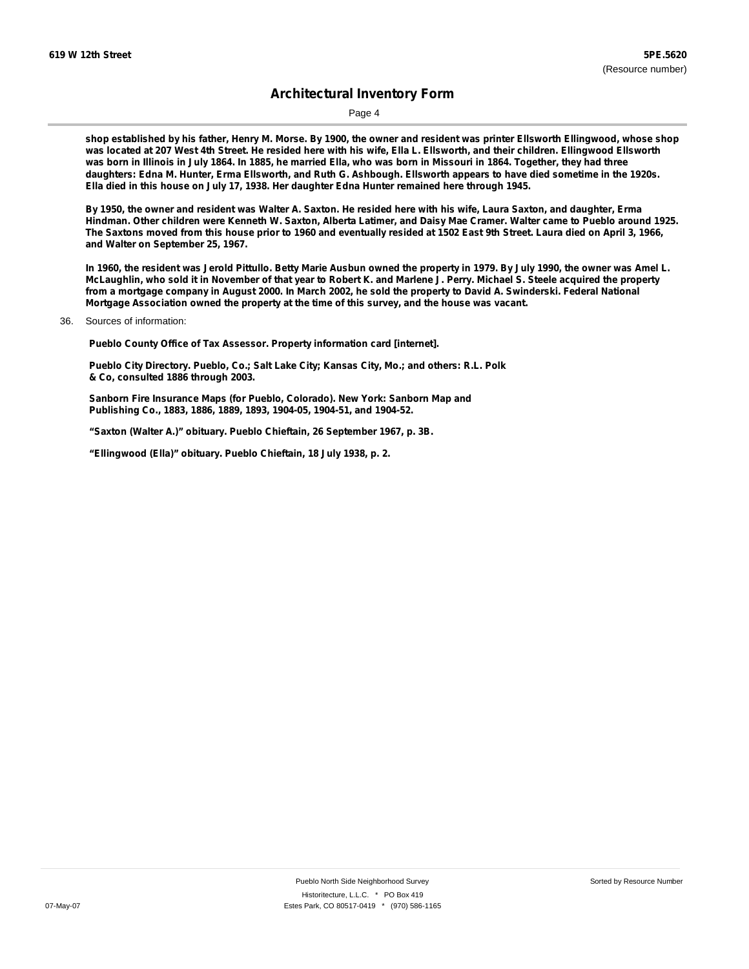Page 4

shop established by his father, Henry M. Morse. By 1900, the owner and resident was printer Ellsworth Ellingwood, whose shop was located at 207 West 4th Street. He resided here with his wife, Ella L. Ellsworth, and their children. Ellingwood Ellsworth was born in Illinois in July 1864. In 1885, he married Ella, who was born in Missouri in 1864. Together, they had three daughters: Edna M. Hunter, Erma Ellsworth, and Ruth G. Ashbough. Ellsworth appears to have died sometime in the 1920s. **Ella died in this house on July 17, 1938. Her daughter Edna Hunter remained here through 1945.**

By 1950, the owner and resident was Walter A. Saxton. He resided here with his wife, Laura Saxton, and daughter, Erma Hindman. Other children were Kenneth W. Saxton, Alberta Latimer, and Daisy Mae Cramer. Walter came to Pueblo around 1925. The Saxtons moved from this house prior to 1960 and eventually resided at 1502 East 9th Street. Laura died on April 3, 1966, **and Walter on September 25, 1967.**

In 1960, the resident was Jerold Pittullo. Betty Marie Ausbun owned the property in 1979. By July 1990, the owner was Amel L. McLaughlin, who sold it in November of that year to Robert K. and Marlene J. Perry. Michael S. Steele acquired the property from a mortgage company in August 2000. In March 2002, he sold the property to David A. Swinderski. Federal National **Mortgage Association owned the property at the time of this survey, and the house was vacant.**

#### 36. Sources of information:

**Pueblo County Office of Tax Assessor. Property information card [internet].**

**Pueblo City Directory. Pueblo, Co.; Salt Lake City; Kansas City, Mo.; and others: R.L. Polk & Co, consulted 1886 through 2003.**

**Sanborn Fire Insurance Maps (for Pueblo, Colorado). New York: Sanborn Map and Publishing Co., 1883, 1886, 1889, 1893, 1904-05, 1904-51, and 1904-52.**

**"Saxton (Walter A.)" obituary. Pueblo Chieftain, 26 September 1967, p. 3B.**

**"Ellingwood (Ella)" obituary. Pueblo Chieftain, 18 July 1938, p. 2.**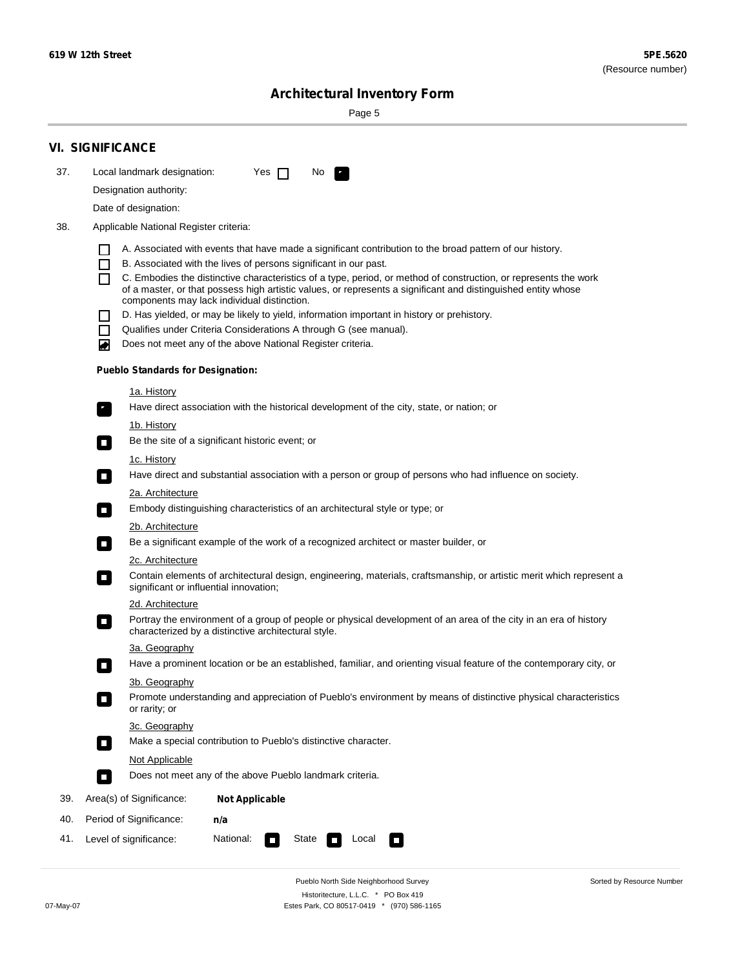Sorted by Resource Number

# **Architectural Inventory Form**

Page 5

|     | <b>VI. SIGNIFICANCE</b>                                                                                                                                                                        |  |  |  |  |
|-----|------------------------------------------------------------------------------------------------------------------------------------------------------------------------------------------------|--|--|--|--|
| 37. | Local landmark designation:<br>Yes $\Box$<br>No.<br>HE 2                                                                                                                                       |  |  |  |  |
|     | Designation authority:                                                                                                                                                                         |  |  |  |  |
|     | Date of designation:                                                                                                                                                                           |  |  |  |  |
| 38. | Applicable National Register criteria:                                                                                                                                                         |  |  |  |  |
|     |                                                                                                                                                                                                |  |  |  |  |
|     | A. Associated with events that have made a significant contribution to the broad pattern of our history.<br>B. Associated with the lives of persons significant in our past.<br>$\blacksquare$ |  |  |  |  |
|     | C. Embodies the distinctive characteristics of a type, period, or method of construction, or represents the work<br>П                                                                          |  |  |  |  |
|     | of a master, or that possess high artistic values, or represents a significant and distinguished entity whose<br>components may lack individual distinction.                                   |  |  |  |  |
|     | D. Has yielded, or may be likely to yield, information important in history or prehistory.                                                                                                     |  |  |  |  |
|     | Qualifies under Criteria Considerations A through G (see manual).<br>$\sim$                                                                                                                    |  |  |  |  |
|     | Does not meet any of the above National Register criteria.<br>₩                                                                                                                                |  |  |  |  |
|     | <b>Pueblo Standards for Designation:</b>                                                                                                                                                       |  |  |  |  |
|     | 1a. History                                                                                                                                                                                    |  |  |  |  |
|     | Have direct association with the historical development of the city, state, or nation; or<br>$\mathbf{r}_\perp$                                                                                |  |  |  |  |
|     | 1b. History                                                                                                                                                                                    |  |  |  |  |
|     | Be the site of a significant historic event; or<br>$\blacksquare$                                                                                                                              |  |  |  |  |
|     | 1c. History                                                                                                                                                                                    |  |  |  |  |
|     | Have direct and substantial association with a person or group of persons who had influence on society.<br>$\overline{\phantom{a}}$                                                            |  |  |  |  |
|     | 2a. Architecture                                                                                                                                                                               |  |  |  |  |
|     | Embody distinguishing characteristics of an architectural style or type; or<br>$\mathcal{L}_{\mathcal{A}}$                                                                                     |  |  |  |  |
|     | <u>2b. Architecture</u>                                                                                                                                                                        |  |  |  |  |
|     | Be a significant example of the work of a recognized architect or master builder, or<br>$\Box$                                                                                                 |  |  |  |  |
|     | 2c. Architecture                                                                                                                                                                               |  |  |  |  |
|     | Contain elements of architectural design, engineering, materials, craftsmanship, or artistic merit which represent a<br>$\Box$<br>significant or influential innovation;                       |  |  |  |  |
|     | 2d. Architecture                                                                                                                                                                               |  |  |  |  |
|     | Portray the environment of a group of people or physical development of an area of the city in an era of history<br>$\Box$<br>characterized by a distinctive architectural style.              |  |  |  |  |
|     | 3a. Geography                                                                                                                                                                                  |  |  |  |  |
|     | Have a prominent location or be an established, familiar, and orienting visual feature of the contemporary city, or                                                                            |  |  |  |  |
|     | 3b. Geography                                                                                                                                                                                  |  |  |  |  |
|     | Promote understanding and appreciation of Pueblo's environment by means of distinctive physical characteristics<br>or rarity; or                                                               |  |  |  |  |
|     | 3c. Geography                                                                                                                                                                                  |  |  |  |  |
|     | Make a special contribution to Pueblo's distinctive character.<br>$\Box$                                                                                                                       |  |  |  |  |
|     | <b>Not Applicable</b>                                                                                                                                                                          |  |  |  |  |
|     | Does not meet any of the above Pueblo landmark criteria.<br>$\overline{\phantom{a}}$                                                                                                           |  |  |  |  |
| 39. | Area(s) of Significance:<br><b>Not Applicable</b>                                                                                                                                              |  |  |  |  |
| 40. | Period of Significance:<br>n/a                                                                                                                                                                 |  |  |  |  |
| 41. | National:<br>Level of significance:<br>State<br>Local<br>$\sim$<br>□                                                                                                                           |  |  |  |  |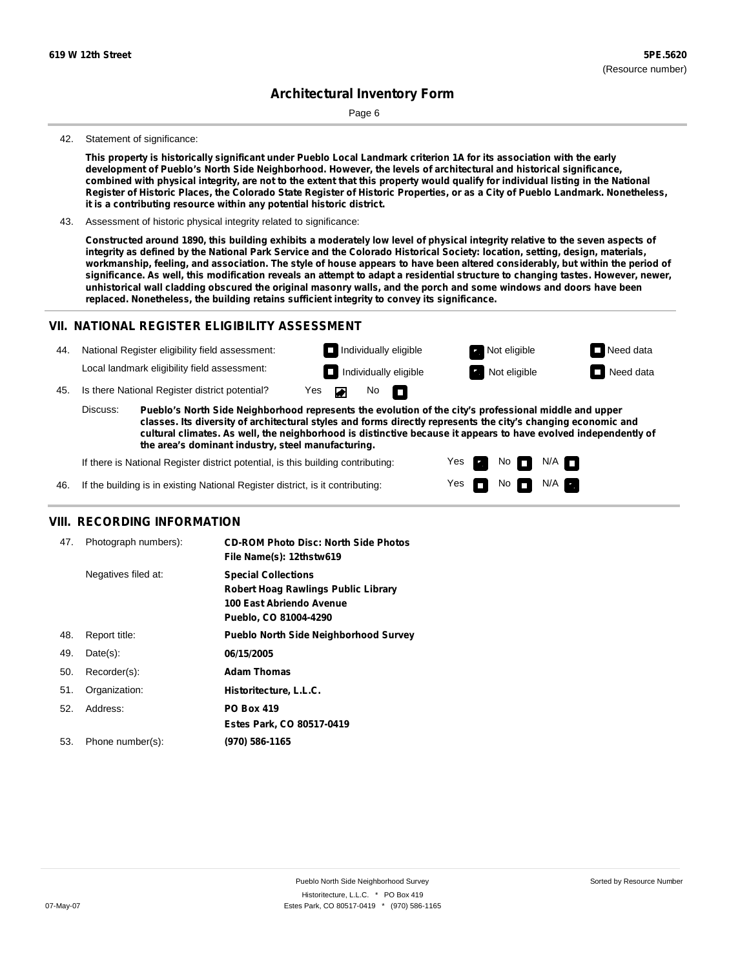Page 6

#### 42. Statement of significance:

This property is historically significant under Pueblo Local Landmark criterion 1A for its association with the early **development of Pueblo's North Side Neighborhood. However, the levels of architectural and historical significance,** combined with physical integrity, are not to the extent that this property would qualify for individual listing in the National Register of Historic Places, the Colorado State Register of Historic Properties, or as a City of Pueblo Landmark. Nonetheless, **it is a contributing resource within any potential historic district.**

43. Assessment of historic physical integrity related to significance:

Constructed around 1890, this building exhibits a moderately low level of physical integrity relative to the seven aspects of integrity as defined by the National Park Service and the Colorado Historical Society: location, setting, design, materials, workmanship, feeling, and association. The style of house appears to have been altered considerably, but within the period of significance. As well, this modification reveals an attempt to adapt a residential structure to changing tastes. However, newer, unhistorical wall cladding obscured the original masonry walls, and the porch and some windows and doors have been **replaced. Nonetheless, the building retains sufficient integrity to convey its significance.**

#### **VII. NATIONAL REGISTER ELIGIBILITY ASSESSMENT**



**cultural climates. As well, the neighborhood is distinctive because it appears to have evolved independently of the area's dominant industry, steel manufacturing.**

> Yes Yes

**The Second Second** 

Non<sub>d</sub> N/A No  $\blacksquare$  N/A  $\blacksquare$ 

If there is National Register district potential, is this building contributing:

If the building is in existing National Register district, is it contributing: 46.

#### **VIII. RECORDING INFORMATION**

| 47. | Photograph numbers): | <b>CD-ROM Photo Disc: North Side Photos</b><br>File Name(s): 12thstw619                                                       |
|-----|----------------------|-------------------------------------------------------------------------------------------------------------------------------|
|     | Negatives filed at:  | <b>Special Collections</b><br><b>Robert Hoag Rawlings Public Library</b><br>100 East Abriendo Avenue<br>Pueblo, CO 81004-4290 |
| 48. | Report title:        | <b>Pueblo North Side Neighborhood Survey</b>                                                                                  |
| 49. | $Date(s)$ :          | 06/15/2005                                                                                                                    |
| 50. | Recorder(s):         | <b>Adam Thomas</b>                                                                                                            |
| 51. | Organization:        | Historitecture, L.L.C.                                                                                                        |
| 52. | Address:             | <b>PO Box 419</b>                                                                                                             |
|     |                      | Estes Park, CO 80517-0419                                                                                                     |
| 53. | Phone number(s):     | (970) 586-1165                                                                                                                |
|     |                      |                                                                                                                               |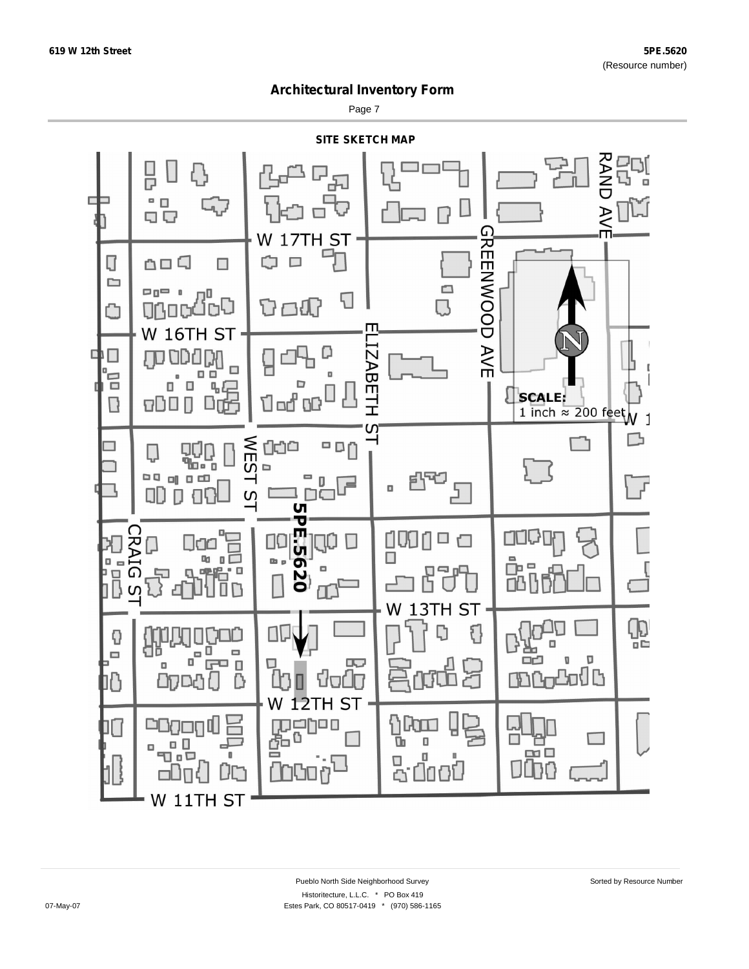Page 7